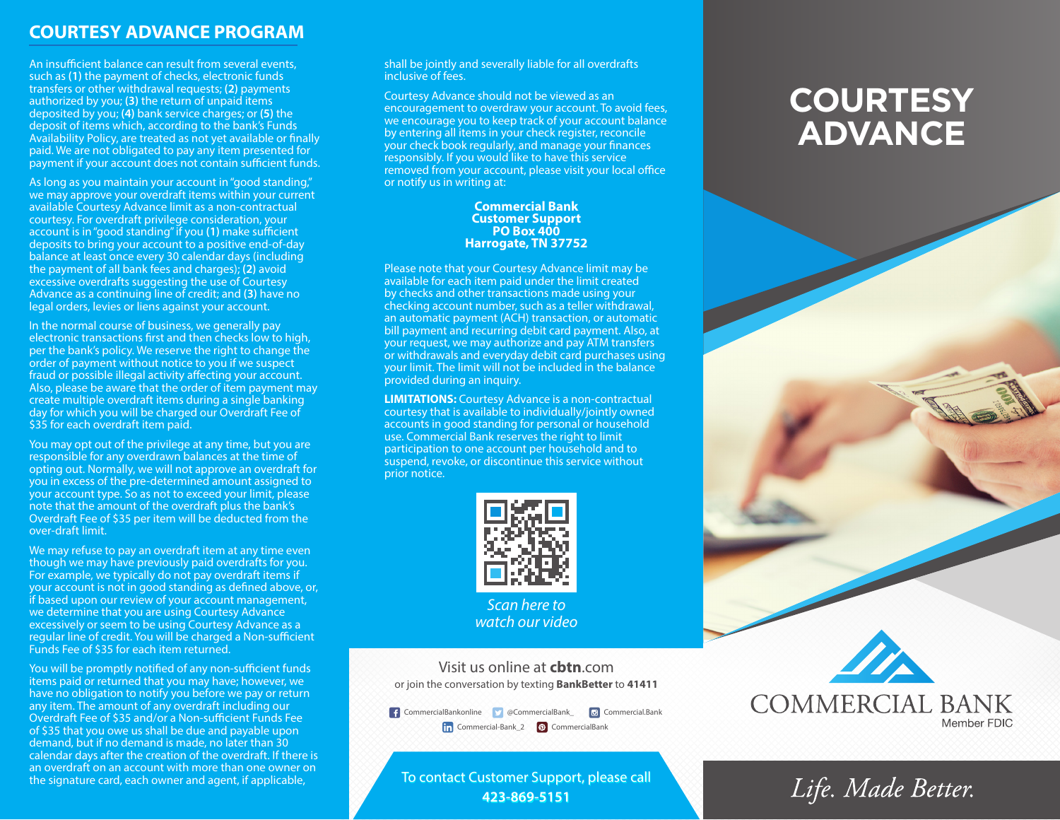### **COURTESY ADVANCE PROGRAM**

An insufficient balance can result from several events, such as **(1)** the payment of checks, electronic funds transfers or other withdrawal requests; **(2)** payments authorized by you; **(3)** the return of unpaid items deposited by you; **(4)** bank service charges; or **(5)** the deposit of items which, according to the bank's Funds Availability Policy, are treated as not yet available or finally paid. We are not obligated to pay any item presented for payment if your account does not contain sufficient funds.

As long as you maintain your account in "good standing," we may approve your overdraft items within your current available Courtesy Advance limit as a non-contractual courtesy. For overdraft privilege consideration, your account is in "good standing" if you **(1)** make sufficient deposits to bring your account to a positive end-of-day balance at least once every 30 calendar days (including the payment of all bank fees and charges); **(2)** avoid excessive overdrafts suggesting the use of Courtesy Advance as a continuing line of credit; and **(3)** have no legal orders, levies or liens against your account.

In the normal course of business, we generally pay electronic transactions first and then checks low to high, per the bank's policy. We reserve the right to change the order of payment without notice to you if we suspect fraud or possible illegal activity affecting your account. Also, please be aware that the order of item payment may create multiple overdraft items during a single banking day for which you will be charged our Overdraft Fee of \$35 for each overdraft item paid.

You may opt out of the privilege at any time, but you are responsible for any overdrawn balances at the time of opting out. Normally, we will not approve an overdraft for you in excess of the pre-determined amount assigned to your account type. So as not to exceed your limit, please note that the amount of the overdraft plus the bank's Overdraft Fee of \$35 per item will be deducted from the over-draft limit.

We may refuse to pay an overdraft item at any time even though we may have previously paid overdrafts for you. For example, we typically do not pay overdraft items if your account is not in good standing as defined above, or, if based upon our review of your account management, we determine that you are using Courtesy Advance excessively or seem to be using Courtesy Advance as a regular line of credit. You will be charged a Non-sufficient Funds Fee of \$35 for each item returned.

You will be promptly notified of any non-sufficient funds items paid or returned that you may have; however, we have no obligation to notify you before we pay or return any item. The amount of any overdraft including our Overdraft Fee of \$35 and/or a Non-sufficient Funds Fee of \$35 that you owe us shall be due and payable upon demand, but if no demand is made, no later than 30 calendar days after the creation of the overdraft. If there is an overdraft on an account with more than one owner on the signature card, each owner and agent, if applicable,

shall be jointly and severally liable for all overdrafts inclusive of fees.

Courtesy Advance should not be viewed as an encouragement to overdraw your account. To avoid fees, we encourage you to keep track of your account balance by entering all items in your check register, reconcile your check book regularly, and manage your finances responsibly. If you would like to have this service removed from your account, please visit your local office or notify us in writing at:

#### **Commercial Bank Customer Support PO Box 400 Harrogate, TN 37752**

Please note that your Courtesy Advance limit may be available for each item paid under the limit created by checks and other transactions made using your checking account number, such as a teller withdrawal, an automatic payment (ACH) transaction, or automatic bill payment and recurring debit card payment. Also, at your request, we may authorize and pay ATM transfers or withdrawals and everyday debit card purchases using your limit. The limit will not be included in the balance provided during an inquiry.

**LIMITATIONS:** Courtesy Advance is a non-contractual courtesy that is available to individually/jointly owned accounts in good standing for personal or household use. Commercial Bank reserves the right to limit participation to one account per household and to suspend, revoke, or discontinue this service without prior notice.



*watch our video*

Visit us online at **cbtn**.com or join the conversation by texting **BankBetter** to **41411**

CommercialBankonline @CommercialBank\_ Commercial.Bank **Commercial-Bank\_2 @** CommercialBank

To contact Customer Support, please call **423-869-5151**

# **COURTESY ADVANCE**



## Life. Made Better.